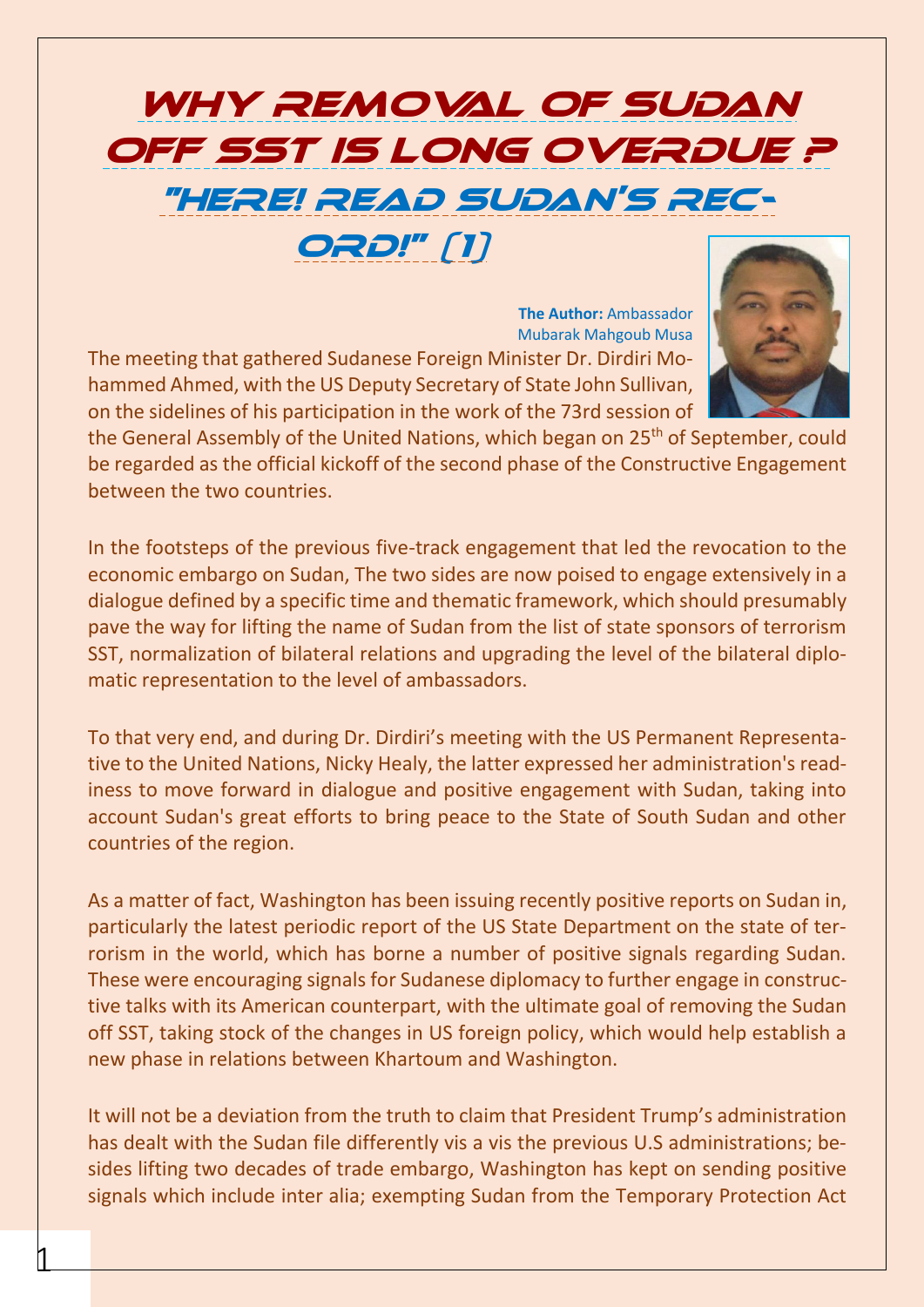## Why Removal Of Sudan OFF SST IS LONG OVERDUE ? "Here! Read Sudan's Rec-ORD!" [1]

**The Author:** Ambassador Mubarak Mahgoub Musa The meeting that gathered Sudanese Foreign Minister Dr. Dirdiri Mohammed Ahmed, with the US Deputy Secretary of State John Sullivan, on the sidelines of his participation in the work of the 73rd session of



the General Assembly of the United Nations, which began on 25<sup>th</sup> of September, could be regarded as the official kickoff of the second phase of the Constructive Engagement between the two countries.

In the footsteps of the previous five-track engagement that led the revocation to the economic embargo on Sudan, The two sides are now poised to engage extensively in a dialogue defined by a specific time and thematic framework, which should presumably pave the way for lifting the name of Sudan from the list of state sponsors of terrorism SST, normalization of bilateral relations and upgrading the level of the bilateral diplomatic representation to the level of ambassadors.

To that very end, and during Dr. Dirdiri's meeting with the US Permanent Representative to the United Nations, Nicky Healy, the latter expressed her administration's readiness to move forward in dialogue and positive engagement with Sudan, taking into account Sudan's great efforts to bring peace to the State of South Sudan and other countries of the region.

As a matter of fact, Washington has been issuing recently positive reports on Sudan in, particularly the latest periodic report of the US State Department on the state of terrorism in the world, which has borne a number of positive signals regarding Sudan. These were encouraging signals for Sudanese diplomacy to further engage in constructive talks with its American counterpart, with the ultimate goal of removing the Sudan off SST, taking stock of the changes in US foreign policy, which would help establish a new phase in relations between Khartoum and Washington.

It will not be a deviation from the truth to claim that President Trump's administration has dealt with the Sudan file differently vis a vis the previous U.S administrations; besides lifting two decades of trade embargo, Washington has kept on sending positive signals which include inter alia; exempting Sudan from the Temporary Protection Act

 $\mathfrak l$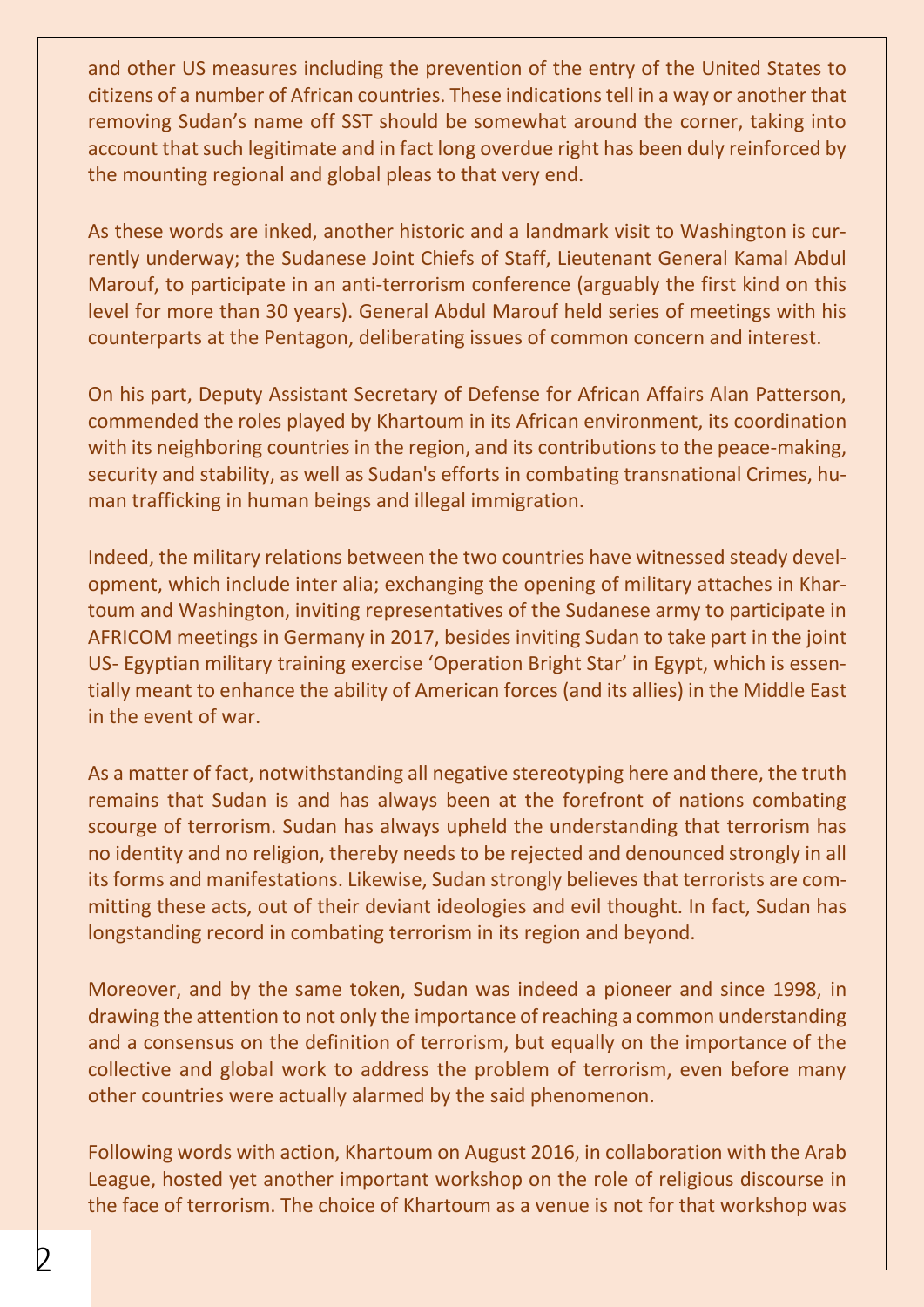and other US measures including the prevention of the entry of the United States to citizens of a number of African countries. These indications tell in a way or another that removing Sudan's name off SST should be somewhat around the corner, taking into account that such legitimate and in fact long overdue right has been duly reinforced by the mounting regional and global pleas to that very end.

As these words are inked, another historic and a landmark visit to Washington is currently underway; the Sudanese Joint Chiefs of Staff, Lieutenant General Kamal Abdul Marouf, to participate in an anti-terrorism conference (arguably the first kind on this level for more than 30 years). General Abdul Marouf held series of meetings with his counterparts at the Pentagon, deliberating issues of common concern and interest.

On his part, Deputy Assistant Secretary of Defense for African Affairs Alan Patterson, commended the roles played by Khartoum in its African environment, its coordination with its neighboring countries in the region, and its contributions to the peace-making, security and stability, as well as Sudan's efforts in combating transnational Crimes, human trafficking in human beings and illegal immigration.

Indeed, the military relations between the two countries have witnessed steady development, which include inter alia; exchanging the opening of military attaches in Khartoum and Washington, inviting representatives of the Sudanese army to participate in AFRICOM meetings in Germany in 2017, besides inviting Sudan to take part in the joint US- Egyptian military training exercise 'Operation Bright Star' in Egypt, which is essentially meant to enhance the ability of American forces (and its allies) in the Middle East in the event of war.

As a matter of fact, notwithstanding all negative stereotyping here and there, the truth remains that Sudan is and has always been at the forefront of nations combating scourge of terrorism. Sudan has always upheld the understanding that terrorism has no identity and no religion, thereby needs to be rejected and denounced strongly in all its forms and manifestations. Likewise, Sudan strongly believes that terrorists are committing these acts, out of their deviant ideologies and evil thought. In fact, Sudan has longstanding record in combating terrorism in its region and beyond.

Moreover, and by the same token, Sudan was indeed a pioneer and since 1998, in drawing the attention to not only the importance of reaching a common understanding and a consensus on the definition of terrorism, but equally on the importance of the collective and global work to address the problem of terrorism, even before many other countries were actually alarmed by the said phenomenon.

Following words with action, Khartoum on August 2016, in collaboration with the Arab League, hosted yet another important workshop on the role of religious discourse in the face of terrorism. The choice of Khartoum as a venue is not for that workshop was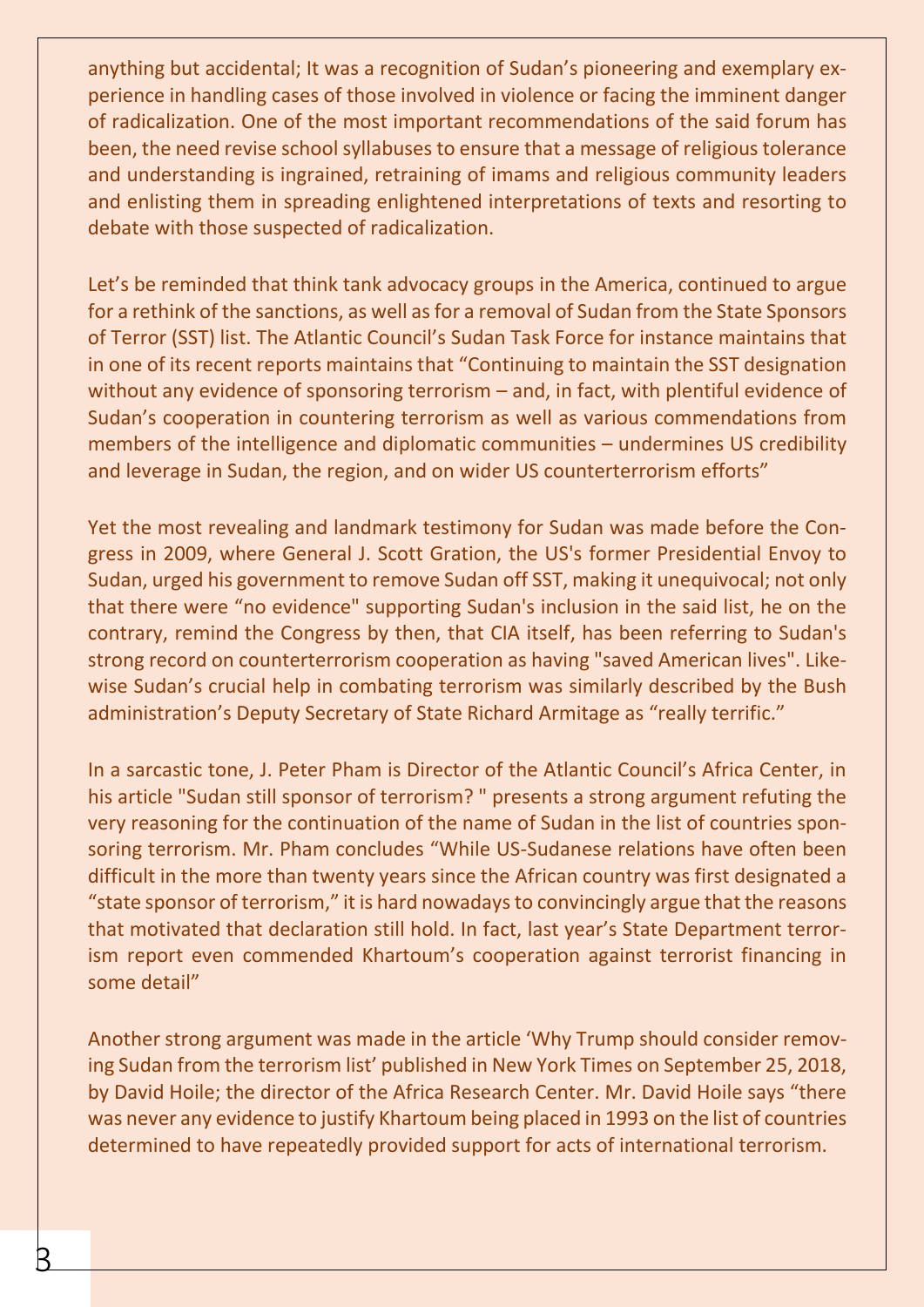anything but accidental; It was a recognition of Sudan's pioneering and exemplary experience in handling cases of those involved in violence or facing the imminent danger of radicalization. One of the most important recommendations of the said forum has been, the need revise school syllabuses to ensure that a message of religious tolerance and understanding is ingrained, retraining of imams and religious community leaders and enlisting them in spreading enlightened interpretations of texts and resorting to debate with those suspected of radicalization.

Let's be reminded that think tank advocacy groups in the America, continued to argue for a rethink of the sanctions, as well as for a removal of Sudan from the State Sponsors of Terror (SST) list. The Atlantic Council's Sudan Task Force for instance maintains that in one of its recent reports maintains that "Continuing to maintain the SST designation without any evidence of sponsoring terrorism – and, in fact, with plentiful evidence of Sudan's cooperation in countering terrorism as well as various commendations from members of the intelligence and diplomatic communities – undermines US credibility and leverage in Sudan, the region, and on wider US counterterrorism efforts"

Yet the most revealing and landmark testimony for Sudan was made before the Congress in 2009, where General J. Scott Gration, the US's former Presidential Envoy to Sudan, urged his government to remove Sudan off SST, making it unequivocal; not only that there were "no evidence" supporting Sudan's inclusion in the said list, he on the contrary, remind the Congress by then, that CIA itself, has been referring to Sudan's strong record on counterterrorism cooperation as having "saved American lives". Likewise Sudan's crucial help in combating terrorism was similarly described by the Bush administration's Deputy Secretary of State Richard Armitage as "really terrific."

In a sarcastic tone, J. Peter Pham is Director of the Atlantic Council's Africa Center, in his article "Sudan still sponsor of terrorism? " presents a strong argument refuting the very reasoning for the continuation of the name of Sudan in the list of countries sponsoring terrorism. Mr. Pham concludes "While US-Sudanese relations have often been difficult in the more than twenty years since the African country was first designated a "state sponsor of terrorism," it is hard nowadays to convincingly argue that the reasons that motivated that declaration still hold. In fact, last year's State Department terrorism report even commended Khartoum's cooperation against terrorist financing in some detail"

Another strong argument was made in the article 'Why Trump should consider removing Sudan from the terrorism list' published in New York Times on September 25, 2018, by David Hoile; the director of the Africa Research Center. Mr. David Hoile says "there was never any evidence to justify Khartoum being placed in 1993 on the list of countries determined to have repeatedly provided support for acts of international terrorism.